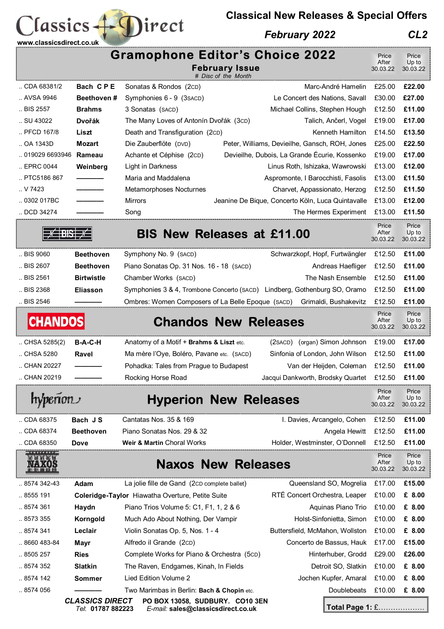## **Classical New Releases & Special Offers**

## *February 2022 CL2*

| www.classicsdirect.co.uk                                                                                                                |                    | <b>Gramophone Editor's Choice 2022</b>            | <b>February Issue</b> |                                                                           | Price<br>After<br>30.03.22 | Price<br>Up to<br>30.03.22 |
|-----------------------------------------------------------------------------------------------------------------------------------------|--------------------|---------------------------------------------------|-----------------------|---------------------------------------------------------------------------|----------------------------|----------------------------|
| CDA 68381/2                                                                                                                             | Bach CPE           | Sonatas & Rondos (2cD)                            | # Disc of the Month   | Marc-André Hamelin                                                        | £25.00                     | £22.00                     |
| AVSA 9946                                                                                                                               | <b>Beethoven #</b> | Symphonies 6 - 9 (3 saco)                         |                       | Le Concert des Nations, Savall                                            | £30.00                     | £27.00                     |
| BIS 2557                                                                                                                                | <b>Brahms</b>      | 3 Sonatas (SACD)                                  |                       | Michael Collins, Stephen Hough                                            | £12.50                     | £11.00                     |
| SU 43022                                                                                                                                | <b>Dvořák</b>      | The Many Loves of Antonín Dvořák (3cD)            |                       | Talich, Ančerl, Vogel                                                     | £19.00                     | £17.00                     |
| PFCD 167/8                                                                                                                              | Liszt              | Death and Transfiguration (2cD)                   |                       | Kenneth Hamilton                                                          | £14.50                     | £13.50                     |
| OA 1343D                                                                                                                                | <b>Mozart</b>      | Die Zauberflöte (DVD)                             |                       | Peter, Williams, Devieilhe, Gansch, ROH, Jones                            | £25.00                     | £22.50                     |
| 019029 6693946                                                                                                                          | Rameau             | Achante et Céphise (2cD)                          |                       | Devieilhe, Dubois, La Grande Écurie, Kossenko                             | £19.00                     | £17.00                     |
| EPRC 0044                                                                                                                               | Weinberg           | Light in Darkness                                 |                       | Linus Roth, Ishizaka, Wawrowski                                           | £13.00                     | £12.00                     |
| PTC5186 867                                                                                                                             |                    | Maria and Maddalena                               |                       | Aspromonte, I Barocchisti, Fasolis                                        | £13.00                     | £11.50                     |
| . V7423                                                                                                                                 |                    | Metamorphoses Nocturnes                           |                       | Charvet, Appassionato, Herzog                                             | £12.50                     | £11.50                     |
| .0302017BC                                                                                                                              |                    | Mirrors                                           |                       | Jeanine De Bique, Concerto Köln, Luca Quintavalle                         | £13.00                     | £12.00                     |
| DCD 34274                                                                                                                               |                    | Song                                              |                       | The Hermes Experiment                                                     | £13.00                     | £11.50                     |
|                                                                                                                                         |                    | <b>BIS New Releases at £11.00</b>                 |                       |                                                                           | Price<br>After<br>30.03.22 | Price<br>Up to<br>30.03.22 |
| BIS 9060                                                                                                                                | <b>Beethoven</b>   | Symphony No. 9 (SACD)                             |                       | Schwarzkopf, Hopf, Furtwängler                                            | £12.50                     | £11.00                     |
| BIS 2607                                                                                                                                | <b>Beethoven</b>   | Piano Sonatas Op. 31 Nos. 16 - 18 (SACD)          |                       | Andreas Haefliger                                                         | £12.50                     | £11.00                     |
| BIS 2561                                                                                                                                | <b>Birtwistle</b>  | Chamber Works (SACD)                              |                       | The Nash Ensemble                                                         | £12.50                     | £11.00                     |
| BIS 2368                                                                                                                                | <b>Eliasson</b>    |                                                   |                       | Symphonies 3 & 4, Trombone Concerto (SACD) Lindberg, Gothenburg SO, Oramo | £12.50                     | £11.00                     |
| BIS 2546                                                                                                                                |                    | Ombres: Women Composers of La Belle Epoque (SACD) |                       | Grimaldi, Bushakevitz                                                     | £12.50                     | £11.00                     |
| <b>CHANDOS</b><br><b>Chandos New Releases</b>                                                                                           |                    |                                                   |                       |                                                                           | Price<br>After<br>30.03.22 | Price<br>Up to<br>30.03.22 |
| CHSA 5285(2)                                                                                                                            | <b>B-A-C-H</b>     | Anatomy of a Motif + Brahms & Liszt etc.          |                       | (2SACD) (organ) Simon Johnson                                             | £19.00                     | £17.00                     |
| CHSA 5280                                                                                                                               | Ravel              | Ma mère l'Oye, Boléro, Pavane etc. (SACD)         |                       | Sinfonia of London, John Wilson                                           | £12.50                     | £11.00                     |
| CHAN 20227                                                                                                                              |                    | Pohadka: Tales from Prague to Budapest            |                       | Van der Heijden, Coleman                                                  | £12.50                     | £11.00                     |
| CHAN 20219                                                                                                                              |                    | Rocking Horse Road                                |                       | Jacqui Dankworth, Brodsky Quartet £12.50                                  |                            | £11.00                     |
| <b>Hyperion New Releases</b><br>hyperion                                                                                                |                    |                                                   |                       |                                                                           | Price<br>After<br>30.03.22 | Price<br>Up to<br>30.03.22 |
| CDA 68375                                                                                                                               | Bach JS            | Cantatas Nos. 35 & 169                            |                       | I. Davies, Arcangelo, Cohen                                               | £12.50                     | £11.00                     |
| CDA 68374                                                                                                                               | <b>Beethoven</b>   | Piano Sonatas Nos. 29 & 32                        |                       | Angela Hewitt                                                             | £12.50                     | £11.00                     |
| CDA 68350                                                                                                                               | <b>Dove</b>        | Weir & Martin Choral Works                        |                       | Holder, Westminster, O'Donnell                                            | £12.50                     | £11.00                     |
| <b>BERREHERE</b><br>血同血同间<br><b>Naxos New Releases</b><br>MAXOR<br>UIII QIY AIB AIN CH                                                  |                    |                                                   |                       |                                                                           | Price<br>After<br>30.03.22 | Price<br>Up to<br>30.03.22 |
| 8574 342-43                                                                                                                             | Adam               | La jolie fille de Gand (2CD complete ballet)      |                       | Queensland SO, Mogrelia                                                   | £17.00                     | £15.00                     |
| 8555 191                                                                                                                                |                    | Coleridge-Taylor Hiawatha Overture, Petite Suite  |                       | RTE Concert Orchestra, Leaper                                             | £10.00                     | £ 8.00                     |
| 8574 361                                                                                                                                | Haydn              | Piano Trios Volume 5: C1, F1, 1, 2 & 6            |                       | Aquinas Piano Trio                                                        | £10.00                     | £ 8.00                     |
| 8573 355                                                                                                                                | Korngold           | Much Ado About Nothing, Der Vampir                |                       | Holst-Sinfonietta, Simon                                                  | £10.00                     | £ 8.00                     |
| 8574 341                                                                                                                                | Leclair            | Violin Sonatas Op. 5, Nos. 1 - 4                  |                       | Buttersfield, McMahon, Wollston                                           | £10.00                     | £ 8.00                     |
| 8660 483-84                                                                                                                             | Mayr               | Alfredo il Grande (2cD)                           |                       | Concerto de Bassus, Hauk                                                  | £17.00                     | £15.00                     |
| 8505 257                                                                                                                                | <b>Ries</b>        | Complete Works for Piano & Orchestra (5cD)        |                       | Hinterhuber, Grodd                                                        | £29.00                     | £26.00                     |
| 8574 352                                                                                                                                | <b>Slatkin</b>     | The Raven, Endgames, Kinah, In Fields             |                       | Detroit SO, Slatkin                                                       | £10.00                     | £ 8.00                     |
| 8574 142                                                                                                                                | <b>Sommer</b>      | Lied Edition Volume 2                             |                       | Jochen Kupfer, Amaral                                                     | £10.00                     | £ 8.00                     |
| 8574 056                                                                                                                                |                    | Two Marimbas in Berlin: Bach & Chopin etc.        |                       | Doublebeats                                                               | £10.00                     | £ 8.00                     |
| <b>CLASSICS DIRECT</b><br>PO BOX 13058, SUDBURY. CO10 3EN<br>Total Page 1: £<br>Tel: 01787 882223<br>E-mail: sales@classicsdirect.co.uk |                    |                                                   |                       |                                                                           |                            |                            |

Classics + Direct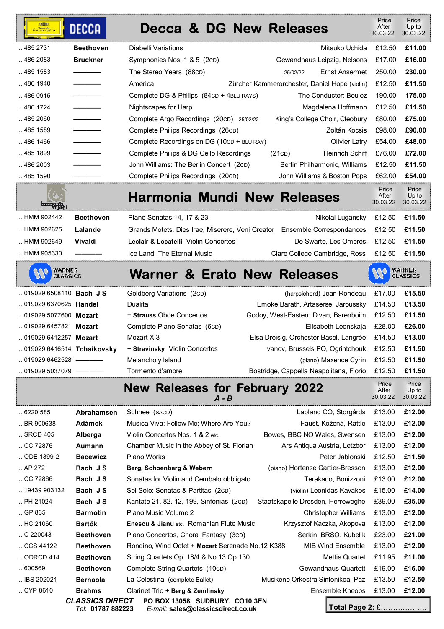| — <sup>Deutsche</sup><br>Ərammophon | <b>DECCA</b>     | Decca & DG New Releases                          |                                               | Price<br>After<br>30.03.22 | Price<br>Up to<br>30.03.22 |
|-------------------------------------|------------------|--------------------------------------------------|-----------------------------------------------|----------------------------|----------------------------|
| .4852731                            | <b>Beethoven</b> | Diabelli Variations                              | Mitsuko Uchida                                | £12.50                     | £11.00                     |
| 486 2083                            | <b>Bruckner</b>  | Symphonies Nos. 1 & 5 (2cD)                      | Gewandhaus Leipzig, Nelsons                   | £17.00                     | £16.00                     |
| 485 1583                            |                  | The Stereo Years (88CD)                          | <b>Ernst Ansermet</b><br>25/02/22             | 250.00                     | 230.00                     |
| 486 1940                            |                  | America                                          | Zürcher Kammerorchester, Daniel Hope (violin) | £12.50                     | £11.50                     |
| .4860915                            |                  | Complete DG & Philips (84CD + 4BLU RAYS)         | The Conductor: Boulez                         | 190.00                     | 175.00                     |
| 486 1724                            |                  | Nightscapes for Harp                             | Magdalena Hoffmann                            | £12.50                     | £11.50                     |
| 485 2060                            |                  | Complete Argo Recordings (20cD) 25/02/22         | King's College Choir, Cleobury                | £80.00                     | £75.00                     |
| 485 1589                            |                  | Complete Philips Recordings (26cD)               | Zoltán Kocsis                                 | £98.00                     | £90.00                     |
| 486 1466                            |                  | Complete Recordings on DG (10CD + BLU RAY)       | <b>Olivier Latry</b>                          | £54.00                     | £48.00                     |
| 485 1899                            |                  | Complete Philips & DG Cello Recordings           | <b>Heinrich Schiff</b><br>(21CD)              | £76.00                     | £72.00                     |
| 486 2003                            |                  | John Williams: The Berlin Concert (2cD)          | Berlin Philharmonic, Williams                 | £12.50                     | £11.50                     |
| 485 1590                            |                  | Complete Philips Recordings (20cD)               | John Williams & Boston Pops                   | £62.00                     | £54.00                     |
| harmonia<br>mundi                   |                  | <b>Harmonia Mundi New Releases</b>               |                                               | Price<br>After<br>30.03.22 | Price<br>Up to<br>30.03.22 |
| HMM 902442                          | <b>Beethoven</b> | Piano Sonatas 14, 17 & 23                        | Nikolai Lugansky                              | £12.50                     | £11.50                     |
| HMM 902625                          | Lalande          | Grands Motets, Dies Irae, Miserere, Veni Creator | Ensemble Correspondances                      | £12.50                     | £11.50                     |
| HMM 902649                          | <b>Vivaldi</b>   | Leclair & Locatelli Violin Concertos             | De Swarte, Les Ombres                         | £12.50                     | £11.50                     |

|  |  |  |  | <b>Warner &amp; Erato New Releases</b> |
|--|--|--|--|----------------------------------------|
|--|--|--|--|----------------------------------------|

.. HMM 905330 **————** Ice Land: The Eternal Music Clare College Cambridge, Ross £12.50 **£11.50** 

WARNER<br>CLASSICS

W

| WARNER          |
|-----------------|
| <b>CLASSICS</b> |

 $\mathcal{U}$ 

 Price After

30.03.22 30.03.22

Up to

|                                  | $\mathbf{A}$ lau Dalaassa fan Fabrussu, 0000 |                                                       | Price | Price |
|----------------------------------|----------------------------------------------|-------------------------------------------------------|-------|-------|
| $\ldots$ 019029 5037079 —————    | Tormento d'amore                             | Bostridge, Cappella Neapolitana, Florio £12.50 £11.50 |       |       |
| $\ldots$ 019029 6462528 $\ldots$ | Melancholy Island                            | (piano) Maxence Cyrin £12.50 £11.50                   |       |       |
| 019029 6416514 Tchaikovskv       | + Stravinsky Violin Concertos                | Ivanov, Brussels PO, Ogrintchouk £12.50 £11.50        |       |       |
| 019029 6412257 Mozart            | Mozart X 3                                   | Elsa Dreisig, Orchester Basel, Langrée £14.50 £13.00  |       |       |
| 019029 6457821 Mozart            | Complete Piano Sonatas (6cD)                 | Elisabeth Leonskaja £28.00 £26.00                     |       |       |
| 019029 5077600 Mozart            | + Strauss Oboe Concertos                     | Godoy, West-Eastern Divan, Barenboim £12.50 £11.50    |       |       |
| 019029 6370625 Handel            | Dualita                                      | Emoke Barath, Artaserse, Jaroussky £14.50 £13.50      |       |       |
| 019029 6508110 Bach JS           | Goldberg Variations (2cD)                    | (harpsichord) Jean Rondeau £17.00 £15.50              |       |       |
|                                  |                                              |                                                       |       |       |

**New Releases for February 2022**   $A - B$ 

| .6220585               | <b>Abrahamsen</b>                           | Schnee (SACD)                                                         | Lapland CO, Storgårds             | £13.00<br>£12.00       |
|------------------------|---------------------------------------------|-----------------------------------------------------------------------|-----------------------------------|------------------------|
| BR 900638              | Adámek                                      | Musica Viva: Follow Me; Where Are You?                                | Faust, Kožená, Rattle             | £12.00<br>£13.00       |
| SRCD 405               | Alberga                                     | Violin Concertos Nos. 1 & 2 etc.                                      | Bowes, BBC NO Wales, Swensen      | £12.00<br>£13.00       |
| $\ldots$ CC 72876      | Aumann                                      | Chamber Music in the Abbey of St. Florian                             | Ars Antiqua Austria, Letzbor      | £12.00<br>£13.00       |
| ODE 1399-2             | <b>Bacewicz</b>                             | Piano Works                                                           | Peter Jablonski                   | £12.50<br>£11.50       |
| $.$ AP 272             | Bach JS                                     | Berg, Schoenberg & Webern                                             | (piano) Hortense Cartier-Bresson  | £12.00<br>£13.00       |
| $\ldots$ CC 72866      | Bach JS                                     | Sonatas for Violin and Cembalo obbligato                              | Terakado, Bonizzoni               | £12.00<br>£13.00       |
| 19439 903132           | Bach JS                                     | Sei Solo: Sonatas & Partitas (2cD)                                    | (violin) Leonidas Kavakos         | £15.00<br>£14.00       |
| PH 21024               | Bach JS                                     | Kantate 21, 82, 12, 199, Sinfonias (2cD)                              | Staatskapelle Dresden, Herreweghe | £39.00<br>£35.00       |
| $\ldots$ GP 865        | <b>Barmotin</b>                             | Piano Music Volume 2                                                  | Christopher Williams              | £13.00<br>£12.00       |
| . H <sub>C</sub> 21060 | <b>Bartók</b>                               | <b>Enescu &amp; Jianu etc. Romanian Flute Music</b>                   | Krzysztof Kaczka, Akopova         | £12.00<br>£13.00       |
| $\ldots$ C 220043      | <b>Beethoven</b>                            | Piano Concertos, Choral Fantasy (3cD)                                 | Serkin, BRSO, Kubelik             | £21.00<br>£23.00       |
| CCS 44122              | <b>Beethoven</b>                            | Rondino, Wind Octet + Mozart Serenade No.12 K388                      | <b>MIB Wind Ensemble</b>          | £12.00<br>£13.00       |
| ODRCD 414              | <b>Beethoven</b>                            | String Quartets Op. 18/4 & No.13 Op.130                               | Mettis Quartet                    | £11.00<br>£11.95       |
| $\ldots$ 600569        | <b>Beethoven</b>                            | Complete String Quartets (10cD)                                       | Gewandhaus-Quartett               | £16.00<br>£19.00       |
| $\ldots$ IBS 202021    | <b>Bernaola</b>                             | La Celestina (complete Ballet)                                        | Musikene Orkestra Sinfonikoa, Paz | £13.50<br>£12.50       |
| $\ldots$ CYP 8610      | <b>Brahms</b>                               | Clarinet Trio + Berg & Zemlinsky                                      | Ensemble Kheops                   | £13.00<br>£12.00       |
|                        | <b>CLASSICS DIRECT</b><br>Tel: 01787 882223 | PO BOX 13058, SUDBURY. CO10 3EN<br>E-mail: sales@classicsdirect.co.uk |                                   | <b>Total Page 2: £</b> |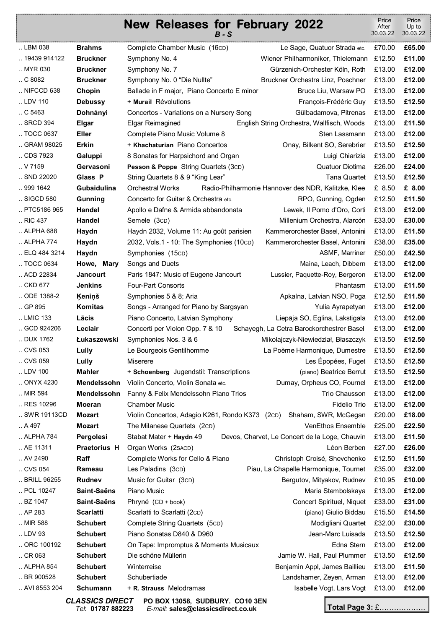|                 |                  | <b>New Releases for February 2022</b>           | $B-S$ |                                                     | Price<br>After<br>30.03.22 | Price<br>Up to<br>30.03.22 |
|-----------------|------------------|-------------------------------------------------|-------|-----------------------------------------------------|----------------------------|----------------------------|
| LBM 038         | <b>Brahms</b>    | Complete Chamber Music (16CD)                   |       | Le Sage, Quatuor Strada etc.                        | £70.00                     | £65.00                     |
| 19439 914122    | <b>Bruckner</b>  | Symphony No. 4                                  |       | Wiener Philharmoniker, Thielemann                   | £12.50                     | £11.00                     |
| MYR 030         | <b>Bruckner</b>  | Symphony No. 7                                  |       | Gürzenich-Orchester Köln, Roth                      | £13.00                     | £12.00                     |
| . C8082         | <b>Bruckner</b>  | Symphony No. 0 "Die Nullte"                     |       | Bruckner Orchestra Linz, Poschner                   | £13.00                     | £12.00                     |
| NIFCCD 638      | Chopin           | Ballade in F major, Piano Concerto E minor      |       | Bruce Liu, Warsaw PO                                | £13.00                     | £12.00                     |
| LDV 110         | <b>Debussy</b>   | + Murail Révolutions                            |       | François-Frédéric Guy                               | £13.50                     | £12.50                     |
| $\ldots$ C 5463 | Dohnányi         | Concertos - Variations on a Nursery Song        |       | Gülbadamova, Pitrenas                               | £13.00                     | £12.00                     |
| SRCD 394        | Elgar            | Elgar Reimagined                                |       | English String Orchestra, Wallfisch, Woods          | £13.00                     | £11.50                     |
| TOCC 0637       | <b>Eller</b>     | Complete Piano Music Volume 8                   |       | Sten Lassmann                                       | £13.00                     | £12.00                     |
| GRAM 98025      | <b>Erkin</b>     | + Khachaturian Piano Concertos                  |       | Onay, Bilkent SO, Serebrier                         | £13.50                     | £12.50                     |
| CDS 7923        | Galuppi          | 8 Sonatas for Harpsichord and Organ             |       | Luigi Chiarizia                                     | £13.00                     | £12.00                     |
| V 7159          | Gervasoni        | Pesson & Poppe String Quartets (3cD)            |       | Quatuor Diotima                                     | £26.00                     | £24.00                     |
| SND 22020       | Glass P          | String Quartets 8 & 9 "King Lear"               |       | <b>Tana Quartet</b>                                 | £13.50                     | £12.50                     |
| 999 1642        | Gubaidulina      | <b>Orchestral Works</b>                         |       | Radio-Philharmonie Hannover des NDR, Kalitzke, Klee | £ 8.50                     | £ 8.00                     |
| SIGCD 580       | <b>Gunning</b>   | Concerto for Guitar & Orchestra etc.            |       | RPO, Gunning, Ogden                                 | £12.50                     | £11.50                     |
| PTC5186 965     | Handel           | Apollo e Dafne & Armida abbandonata             |       | Lewek, Il Pomo d'Oro, Corti                         | £13.00                     | £12.00                     |
| RIC 437         | Handel           | Semele (3CD)                                    |       | Millenium Orchestra, Alarcón                        | £33.00                     | £30.00                     |
| ALPHA 688       | Haydn            | Haydn 2032, Volume 11: Au goût parisien         |       | Kammerorchester Basel, Antonini                     | £13.00                     | £11.50                     |
| ALPHA 774       | Haydn            | 2032, Vols.1 - 10: The Symphonies (10cD)        |       | Kammerorchester Basel, Antonini                     | £38.00                     | £35.00                     |
| ELQ 484 3214    | Haydn            | Symphonies (15cD)                               |       | ASMF, Marriner                                      | £50.00                     | £42.50                     |
| TOCC 0634       | Howe, Mary       | Songs and Duets                                 |       | Maina, Leach, Dibbern                               | £13.00                     | £12.00                     |
| ACD 22834       | <b>Jancourt</b>  | Paris 1847: Music of Eugene Jancourt            |       | Lussier, Paquette-Roy, Bergeron                     | £13.00                     | £12.00                     |
| CKD 677         | <b>Jenkins</b>   | Four-Part Consorts                              |       | Phantasm                                            | £13.00                     | £11.50                     |
| ODE 1388-2      | Keniņš           | Symphonies 5 & 8; Aria                          |       | Apkalna, Latvian NSO, Poga                          | £12.50                     | £11.50                     |
| GP 895          | Komitas          | Songs - Arranged for Piano by Sargsyan          |       | Yulia Ayrapetyan                                    | £13.00                     | £12.00                     |
| LMIC 133        | Lācis            | Piano Concerto, Latvian Symphony                |       | Liepāja SO, Eglina, Lakstigala                      | £13.00                     | £12.00                     |
| GCD 924206      | Leclair          | Concerti per Violon Opp. 7 & 10                 |       | Schayegh, La Cetra Barockorchestrer Basel           | £13.00                     | £12.00                     |
| DUX 1762        | Łukaszewski      | Symphonies Nos. 3 & 6                           |       | Mikołajczyk-Niewiedział, Błaszczyk                  | £13.50                     | £12.50                     |
| CVS 053         | Lully            | Le Bourgeois Gentilhomme                        |       | La Poème Harmonique, Dumestre                       | £13.50                     | £12.50                     |
| CVS 059         | Lully            | <b>Miserere</b>                                 |       | Les Épopées, Fuget                                  | £13.50                     | £12.50                     |
| LDV 100         | <b>Mahler</b>    | + Schoenberg Jugendstil: Transcriptions         |       | (piano) Beatrice Berrut                             | £13.50                     | £12.50                     |
| ONYX 4230       | Mendelssohn      | Violin Concerto, Violin Sonata etc.             |       | Dumay, Orpheus CO, Fournel                          | £13.00                     | £12.00                     |
| MIR 594         | Mendelssohn      | Fanny & Felix Mendelssohn Piano Trios           |       | Trio Chausson                                       | £13.00                     | £12.00                     |
| RES 10296       | <b>Moeran</b>    | <b>Chamber Music</b>                            |       | <b>Fidelio Trio</b>                                 | £13.00                     | £12.00                     |
| SWR 19113CD     | <b>Mozart</b>    | Violin Concertos, Adagio K261, Rondo K373 (2cD) |       | Shaham, SWR, McGegan                                | £20.00                     | £18.00                     |
| . A497          | <b>Mozart</b>    | The Milanese Quartets (2cD)                     |       | VenEthos Ensemble                                   | £25.00                     | £22.50                     |
| ALPHA 784       | Pergolesi        | Stabat Mater + Haydn 49                         |       | Devos, Charvet, Le Concert de la Loge, Chauvin      | £13.00                     | £11.50                     |
| AE 11311        | Praetorius H     | Organ Works (2SACD)                             |       | Léon Berben                                         | £27.00                     | £26.00                     |
| AV 2490         | Raff             | Complete Works for Cello & Piano                |       | Christoph Croisé, Shevchenko                        | £12.50                     | £11.50                     |
| CVS 054         | Rameau           | Les Paladins (3cD)                              |       | Piau, La Chapelle Harmonique, Tournet               | £35.00                     | £32.00                     |
| BRILL 96255     | <b>Rudnev</b>    | Music for Guitar (3cD)                          |       | Bergutov, Mityakov, Rudnev                          | £10.95                     | £10.00                     |
| PCL 10247       | Saint-Saëns      | Piano Music                                     |       | Maria Stembolskaya                                  | £13.00                     | £12.00                     |
| BZ 1047         | Saint-Saëns      | Phryné (CD + book)                              |       | Concert Spirituel, Niquet                           | £33.00                     | £31.00                     |
| AP 283          | <b>Scarlatti</b> | Scarlatti to Scarlatti (2cD)                    |       | (piano) Giulio Biddau                               | £15.50                     | £14.50                     |
| MIR 588         | <b>Schubert</b>  | Complete String Quartets (5cD)                  |       | Modigliani Quartet                                  | £32.00                     | £30.00                     |
| LDV 93          | <b>Schubert</b>  | Piano Sonatas D840 & D960                       |       | Jean-Marc Luisada                                   | £13.50                     | £12.50                     |
| ORC 100192      | <b>Schubert</b>  | On Tape: Impromptus & Moments Musicaux          |       | Edna Stern                                          | £13.00                     | £12.00                     |
| $\ldots$ CR 063 | <b>Schubert</b>  | Die schöne Müllerin                             |       | Jamie W. Hall, Paul Plummer                         | £13.50                     | £12.50                     |
| ALPHA 854       | <b>Schubert</b>  | Winterreise                                     |       | Benjamin Appl, James Baillieu                       | £13.00                     | £11.50                     |
| BR 900528       | <b>Schubert</b>  | Schubertiade                                    |       | Landshamer, Zeyen, Arman                            | £13.00                     | £12.00                     |
| AVI 8553 204    | Schumann         | + R. Strauss Melodramas                         |       | Isabelle Vogt, Lars Vogt                            | £13.00                     | £12.00                     |

*CLASSICS DIRECT* **PO BOX 13058, SUDBURY. CO10 3EN**  *Tel*: **01787 882223** *E-mail:* **sales@classicsdirect.co.uk**

**Total Page 3:** £……………….

Ĩ